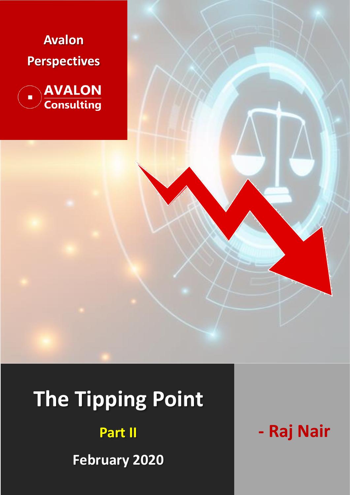



# **The Tipping Point**

**Part II**

**February 2020**

**- Raj Nair**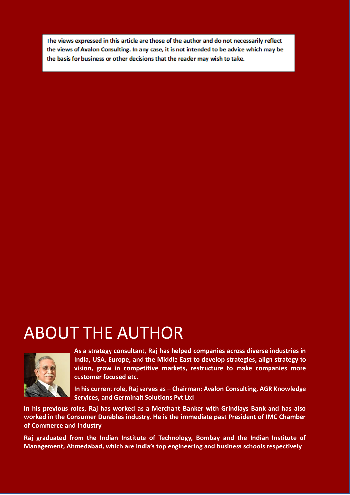The views expressed in this article are those of the author and do not necessarily reflect the views of Avalon Consulting. In any case, it is not intended to be advice which may be the basis for business or other decisions that the reader may wish to take.

## ABOUT THE AUTHOR



**As a strategy consultant, Raj has helped companies across diverse industries in India, USA, Europe, and the Middle East to develop strategies, align strategy to vision, grow in competitive markets, restructure to make companies more customer focused etc.**

**In his current role, Raj serves as – Chairman: Avalon Consulting, AGR Knowledge Services, and Germinait Solutions Pvt Ltd**

**In his previous roles, Raj has worked as a Merchant Banker with Grindlays Bank and has also worked in the Consumer Durables industry. He is the immediate past President of IMC Chamber of Commerce and Industry**

**Raj graduated from the Indian Institute of Technology, Bombay and the Indian Institute of Management, Ahmedabad, which are India's top engineering and business schools respectively**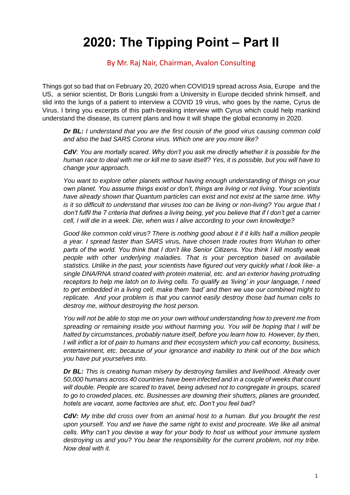## **2020: The Tipping Point – Part II**

#### By Mr. Raj Nair, Chairman, Avalon Consulting

Things got so bad that on February 20, 2020 when COVID19 spread across Asia, Europe and the US, a senior scientist, Dr Boris Lungski from a University in Europe decided shrink himself, and slid into the lungs of a patient to interview a COVID 19 virus, who goes by the name, Cyrus de Virus. I bring you excerpts of this path-breaking interview with Cyrus which could help mankind understand the disease, its current plans and how it will shape the global economy in 2020.

*Dr BL: I understand that you are the first cousin of the good virus causing common cold and also the bad SARS Corona virus. Which one are you more like?*

*CdV: You are mortally scared. Why don't you ask me directly whether it is possible for the human race to deal with me or kill me to save itself? Yes, it is possible, but you will have to change your approach.*

*You want to explore other planets without having enough understanding of things on your own planet. You assume things exist or don't, things are living or not living. Your scientists have already shown that Quantum particles can exist and not exist at the same time. Why is it so difficult to understand that viruses too can be living or non-living? You argue that I don't fulfil the 7 criteria that defines a living being, yet you believe that if I don't get a carrier cell, I will die in a week. Die, when was I alive according to your own knowledge?*

*Good like common cold virus? There is nothing good about it if it kills half a million people a year. I spread faster than SARS virus, have chosen trade routes from Wuhan to other parts of the world. You think that I don't like Senior Citizens. You think I kill mostly weak people with other underlying maladies. That is your perception based on available statistics. Unlike in the past, your scientists have figured out very quickly what I look like- a single DNA/RNA strand coated with protein material, etc. and an exterior having protruding receptors to help me latch on to living cells. To qualify as 'living' in your language, I need to get embedded in a living cell, make them 'bad' and then we use our combined might to replicate. And your problem is that you cannot easily destroy those bad human cells to destroy me, without destroying the host person.*

*You will not be able to stop me on your own without understanding how to prevent me from spreading or remaining inside you without harming you. You will be hoping that I will be halted by circumstances, probably nature itself, before you learn how to. However, by then, I will inflict a lot of pain to humans and their ecosystem which you call economy, business, entertainment, etc. because of your ignorance and inability to think out of the box which you have put yourselves into.*

*Dr BL: This is creating human misery by destroying families and livelihood. Already over 50,000 humans across 40 countries have been infected and in a couple of weeks that count will double. People are scared to travel, being advised not to congregate in groups, scared to go to crowded places, etc. Businesses are downing their shutters, planes are grounded, hotels are vacant, some factories are shut, etc. Don't you feel bad?*

*CdV: My tribe did cross over from an animal host to a human. But you brought the rest upon yourself. You and we have the same right to exist and procreate. We like all animal cells. Why can't you devise a way for your body to host us without your immune system destroying us and you? You bear the responsibility for the current problem, not my tribe. Now deal with it.*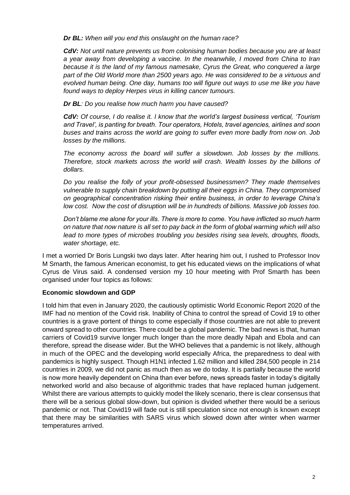*Dr BL: When will you end this onslaught on the human race?* 

*CdV: Not until nature prevents us from colonising human bodies because you are at least a year away from developing a vaccine. In the meanwhile, I moved from China to Iran because it is the land of my famous namesake, Cyrus the Great, who conquered a large part of the Old World more than 2500 years ago. He was considered to be a virtuous and evolved human being. One day, humans too will figure out ways to use me like you have found ways to deploy Herpes virus in killing cancer tumours.*

*Dr BL: Do you realise how much harm you have caused?* 

*CdV: Of course, I do realise it. I know that the world's largest business vertical, 'Tourism and Travel', is panting for breath. Tour operators, Hotels, travel agencies, airlines and soon buses and trains across the world are going to suffer even more badly from now on. Job losses by the millions.*

*The economy across the board will suffer a slowdown. Job losses by the millions. Therefore, stock markets across the world will crash. Wealth losses by the billions of dollars.*

*Do you realise the folly of your profit-obsessed businessmen? They made themselves vulnerable to supply chain breakdown by putting all their eggs in China. They compromised on geographical concentration risking their entire business, in order to leverage China's low cost. Now the cost of disruption will be in hundreds of billions. Massive job losses too.* 

*Don't blame me alone for your ills. There is more to come. You have inflicted so much harm on nature that now nature is all set to pay back in the form of global warming which will also lead to more types of microbes troubling you besides rising sea levels, droughts, floods, water shortage, etc.*

I met a worried Dr Boris Lungski two days later. After hearing him out, I rushed to Professor Inov M Smarth, the famous American economist, to get his educated views on the implications of what Cyrus de Virus said. A condensed version my 10 hour meeting with Prof Smarth has been organised under four topics as follows:

#### **Economic slowdown and GDP**

I told him that even in January 2020, the cautiously optimistic World Economic Report 2020 of the IMF had no mention of the Covid risk. Inability of China to control the spread of Covid 19 to other countries is a grave portent of things to come especially if those countries are not able to prevent onward spread to other countries. There could be a global pandemic. The bad news is that, human carriers of Covid19 survive longer much longer than the more deadly Nipah and Ebola and can therefore, spread the disease wider. But the WHO believes that a pandemic is not likely, although in much of the OPEC and the developing world especially Africa, the preparedness to deal with pandemics is highly suspect. Though H1N1 infected 1.62 million and killed 284,500 people in 214 countries in 2009, we did not panic as much then as we do today. It is partially because the world is now more heavily dependent on China than ever before, news spreads faster in today's digitally networked world and also because of algorithmic trades that have replaced human judgement. Whilst there are various attempts to quickly model the likely scenario, there is clear consensus that there will be a serious global slow-down, but opinion is divided whether there would be a serious pandemic or not. That Covid19 will fade out is still speculation since not enough is known except that there may be similarities with SARS virus which slowed down after winter when warmer temperatures arrived.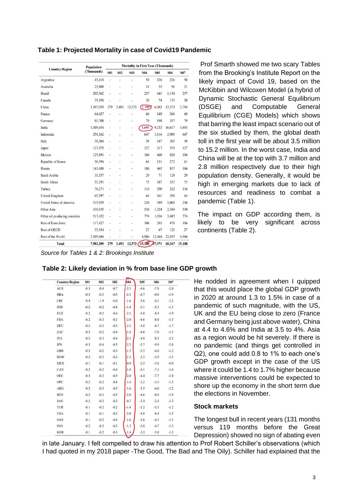|                                 | <b>Population</b><br>(Thousands) | <b>Mortality in First Year (Thousands)</b> |                |            |                 |            |            |            |
|---------------------------------|----------------------------------|--------------------------------------------|----------------|------------|-----------------|------------|------------|------------|
| <b>Country/Region</b>           |                                  | <b>S01</b>                                 | <b>S02</b>     | <b>S03</b> | <b>S04</b>      | <b>S05</b> | <b>S06</b> | <b>S07</b> |
| Argentina                       | 43,418                           | $\overline{a}$                             | ٠              | ٠          | 50              | 126        | 226        | 50         |
| Australia                       | 23,800                           | $\overline{a}$                             |                |            | 21              | 53         | 96         | 21         |
| <b>Brazil</b>                   | 205,962                          |                                            |                |            | 257             | 641        | 1,154      | 257        |
| Canada                          | 35,950                           | ٠                                          |                |            | 30              | 74         | 133        | 30         |
| China                           | 1,397,029                        | 279                                        | 3,493          | 12,573     | (2.794)         | 6,985      | 12,573     | 2,794      |
| France                          | 64,457                           | ٠                                          |                |            | 60              | 149        | 268        | 60         |
| Germany                         | 81,708                           | ٠                                          | ٠              | ٠          | 79              | 198        | 357        | 79         |
| India                           | 1,309,054                        | ٠                                          | ٠              | ۰          | 3,693           | 9,232      | 16,617     | 3,693      |
| Indonesia                       | 258,162                          | ٠                                          |                | ٠          | 647             | 1,616      | 2,909      | 647        |
| Italy                           | 59,504                           | ٠                                          |                | ٠          | 59              | 147        | 265        | 59         |
| Japan                           | 127,975                          | ٠                                          | ٠              | ٠          | 127             | 317        | 570        | 127        |
| Mexico                          | 125,891                          | ٠                                          | ٠              | ٠          | 184             | 460        | 828        | 184        |
| Republic of Korea               | 50,594                           | ٠                                          |                |            | 61              | 151        | 272        | 61         |
| Russia                          | 143,888                          | ٠                                          |                | ٠          | 186             | 465        | 837        | 186        |
| Saudi Arabia                    | 31,557                           | $\blacksquare$                             | $\overline{a}$ | ٠          | 29              | 71         | 128        | 29         |
| <b>South Africa</b>             | 55,291                           | $\blacksquare$                             |                |            | 75              | 187        | 337        | 75         |
| Turkey                          | 78,271                           | $\overline{a}$                             |                | L.         | 116             | 290        | 522        | 116        |
| <b>United Kingdom</b>           | 65,397                           | $\overline{a}$                             | ٠              | ٠          | 64              | 161        | 290        | 64         |
| <b>United States of America</b> | 319,929                          | ٠                                          | ٠              | ٠          | 236             | 589        | 1,060      | 236        |
| <b>Other Asia</b>               | 330,935                          | $\overline{a}$                             |                | ÷          | 530             | 1,324      | 2,384      | 530        |
| Other oil producing countries   | 517,452                          | $\blacksquare$                             |                | ٠          | 774             | 1,936      | 3,485      | 774        |
| <b>Rest of Euro Zone</b>        | 117,427                          | ٠                                          | ٠              | ٠          | 106             | 265        | 478        | 106        |
| <b>Rest of OECD</b>             | 33,954                           | ٠                                          |                | ٠          | 27              | 67         | 121        | 27         |
| <b>Rest of the World</b>        | 2,505,604                        |                                            |                |            | 4,986           | 12,464     | 22,435     | 4,986      |
| <b>Total</b>                    | 7,983,209                        | 279                                        | 3,493          |            | 12,573 (15,188) | 87,971     | 68,347     | 15,188     |

**Table 1: Projected Mortality in case of Covid19 Pandemic**

from the Brooking's Institute Report on the likely impact of Covid 19, based on the McKibbin and Wilcoxen Model (a hybrid of Dynamic Stochastic General Equilibrium (DSGE) and Computable General Equilibrium (CGE) Models) which shows that barring the least impact scenario out of the six studied by them, the global death toll in the first year will be about 3.5 million to 15.2 million. In the worst case, India and China will be at the top with 3.7 million and 2.8 million respectively due to their high population density. Generally, it would be high in emerging markets due to lack of resources and readiness to combat a pandemic (Table 1).

Prof Smarth showed me two scary Tables

The impact on GDP according them, is likely to be very significant across continents (Table 2).

*Source for Tables 1 & 2: Brookings Institute*

| <b>Country/Region</b> | <b>S01</b> | <b>S02</b> | <b>S03</b> | $\overline{604}$ | <b>S05</b> | <b>S06</b> | <b>S07</b> |
|-----------------------|------------|------------|------------|------------------|------------|------------|------------|
| <b>AUS</b>            | $-0.3$     | $-0.4$     | $-0.7$     | $-2.1$           | $-4.6$     | $-7.9$     | $-2.0$     |
| <b>BRA</b>            | $-0.3$     | $-0.3$     | $-0.5$     | $-2.1$           | $-4.7$     | $-8.0$     | $-1.9$     |
| <b>CHI</b>            | $-0.4$     | $-1.9$     | $-6.0$     | $-1.6$           | $-3.6$     | $-6.2$     | $-2.2$     |
| <b>IND</b>            | $-0.2$     | $-0.2$     | $-0.4$     | $-1.4$           | $-3.1$     | $-5.3$     | $-1.3$     |
| <b>EUZ</b>            | $-0.2$     | $-0.2$     | $-0.4$     | $-2.1$           | $-4.8$     | $-8.4$     | $-1.9$     |
| <b>FRA</b>            | $-0.2$     | $-0.3$     | $-0.3$     | $-2.0$           | $-4.6$     | $-8.0$     | $-1.5$     |
| <b>DEU</b>            | $-0.2$     | $-0.3$     | $-0.5$     | $-2.2$           | $-5.0$     | $-8.7$     | $-1.7$     |
| ZAF                   | $-0.2$     | $-0.2$     | $-0.4$     | $-1.8$           | $-4.0$     | $-7.0$     | $-1.5$     |
| <b>ITA</b>            | $-0.2$     | $-0.3$     | $-0.4$     | $-2.1$           | $-4.8$     | $-8.3$     | $-2.2$     |
| <b>JPN</b>            | $-0.3$     | $-0.4$     | $-0.5$     | $-2.5$           | $-5.7$     | $-9.9$     | $-2.0$     |
| <b>GBR</b>            | $-0.2$     | $-0.2$     | $-0.3$     | $-1.5$           | $-3.5$     | $-6.0$     | $-1.2$     |
| <b>ROW</b>            | $-0.2$     | $-0.2$     | $-0.3$     | $-1.5$           | $-3.5$     | $-5.9$     | $-1.5$     |
| <b>MEX</b>            | $-0.1$     | $-0.1$     | $-0.1$     | $-0.9$           | $-2.2$     | $-3.8$     | $-0.9$     |
| CAN                   | $-0.2$     | $-0.2$     | $-0.4$     | $-1.8$           | $-4.1$     | $-7.1$     | $-1.6$     |
| <b>OEC</b>            | $-0.3$     | $-0.3$     | $-0.5$     | $-2.0$           | $-4.4$     | $-7.7$     | $-1.8$     |
| OPC                   | $-0.2$     | $-0.2$     | $-0.4$     | $-1.4$           | $-3.2$     | $-5.5$     | $-1.3$     |
| ARG                   | $-0.2$     | $-0.3$     | $-0.5$     | $-1.6$           | $-3.5$     | $-6.0$     | $-1.2$     |
| <b>RUS</b>            | $-0.2$     | $-0.3$     | $-0.5$     | $-2.0$           | $-4.6$     | $-8.0$     | $-1.9$     |
| SAU                   | $-0.2$     | $-0.2$     | $-0.3$     | $-0.7$           | $-1.4$     | $-2.4$     | $-1.3$     |
| <b>TUR</b>            | $-0.1$     | $-0.2$     | $-0.2$     | $-1.4$           | $-3.2$     | $-5.5$     | $-1.2$     |
| <b>USA</b>            | $-0.1$     | $-0.1$     | $-0.2$     | $-2.0$           | $-4.8$     | $-8.4$     | $-1.5$     |
| OAS                   | $-0.1$     | $-0.2$     | $-0.4$     | $-1.6$           | $-3.6$     | $-6.3$     | $-1.5$     |
| <b>INO</b>            | $-0.2$     | $-0.2$     | $-0.3$     | $-1.3$           | $-2.8$     | $-4.7$     | $-1.3$     |
| <b>KOR</b>            | $-0.1$     | $-0.2$     | $-0.3$     | $-1.4$           | $-3.3$     | $-5.8$     | $-1.3$     |

| Table 2: Likely deviation in % from base line GDP growth |  |  |
|----------------------------------------------------------|--|--|

He nodded in agreement when I quipped that this would place the global GDP growth in 2020 at around 1.3 to 1.5% in case of a pandemic of such magnitude, with the US, UK and the EU being close to zero (France and Germany being just above water), China at 4.4 to 4.6% and India at 3.5 to 4%. Asia as a region would be hit severely. If there is no pandemic (and things get controlled in Q2), one could add 0.8 to 1% to each one's GDP growth except in the case of the US where it could be 1.4 to 1.7% higher because massive interventions could be expected to shore up the economy in the short term due the elections in November.

#### **Stock markets**

The longest bull in recent years (131 months versus 119 months before the Great Depression) showed no sign of abating even

in late January. I felt compelled to draw his attention to Prof Robert Schiller's observations (which I had quoted in my 2018 paper -The Good, The Bad and The Oily). Schiller had explained that the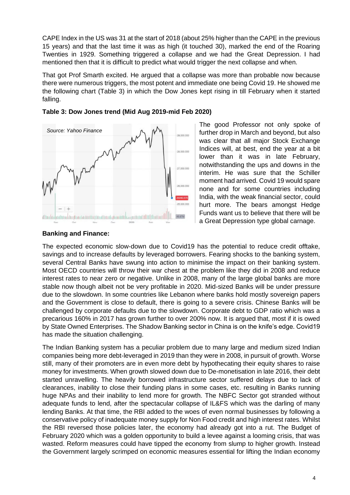CAPE Index in the US was 31 at the start of 2018 (about 25% higher than the CAPE in the previous 15 years) and that the last time it was as high (it touched 30), marked the end of the Roaring Twenties in 1929. Something triggered a collapse and we had the Great Depression. I had mentioned then that it is difficult to predict what would trigger the next collapse and when.

That got Prof Smarth excited. He argued that a collapse was more than probable now because there were numerous triggers, the most potent and immediate one being Covid 19. He showed me the following chart (Table 3) in which the Dow Jones kept rising in till February when it started falling.



#### **Table 3: Dow Jones trend (Mid Aug 2019-mid Feb 2020)**

The good Professor not only spoke of further drop in March and beyond, but also was clear that all major Stock Exchange Indices will, at best, end the year at a bit lower than it was in late February, notwithstanding the ups and downs in the interim. He was sure that the Schiller moment had arrived. Covid 19 would spare none and for some countries including India, with the weak financial sector, could hurt more. The bears amongst Hedge Funds want us to believe that there will be a Great Depression type global carnage.

#### **Banking and Finance:**

The expected economic slow-down due to Covid19 has the potential to reduce credit offtake, savings and to increase defaults by leveraged borrowers. Fearing shocks to the banking system, several Central Banks have swung into action to minimise the impact on their banking system. Most OECD countries will throw their war chest at the problem like they did in 2008 and reduce interest rates to near zero or negative. Unlike in 2008, many of the large global banks are more stable now though albeit not be very profitable in 2020. Mid-sized Banks will be under pressure due to the slowdown. In some countries like Lebanon where banks hold mostly sovereign papers and the Government is close to default, there is going to a severe crisis. Chinese Banks will be challenged by corporate defaults due to the slowdown. Corporate debt to GDP ratio which was a precarious 160% in 2017 has grown further to over 200% now. It is argued that, most if it is owed by State Owned Enterprises. The Shadow Banking sector in China is on the knife's edge. Covid19 has made the situation challenging.

The Indian Banking system has a peculiar problem due to many large and medium sized Indian companies being more debt-leveraged in 2019 than they were in 2008, in pursuit of growth. Worse still, many of their promoters are in even more debt by hypothecating their equity shares to raise money for investments. When growth slowed down due to De-monetisation in late 2016, their debt started unravelling. The heavily borrowed infrastructure sector suffered delays due to lack of clearances, inability to close their funding plans in some cases, etc. resulting in Banks running huge NPAs and their inability to lend more for growth. The NBFC Sector got stranded without adequate funds to lend, after the spectacular collapse of IL&FS which was the darling of many lending Banks. At that time, the RBI added to the woes of even normal businesses by following a conservative policy of inadequate money supply for Non Food credit and high interest rates. Whilst the RBI reversed those policies later, the economy had already got into a rut. The Budget of February 2020 which was a golden opportunity to build a levee against a looming crisis, that was wasted. Reform measures could have tipped the economy from slump to higher growth. Instead the Government largely scrimped on economic measures essential for lifting the Indian economy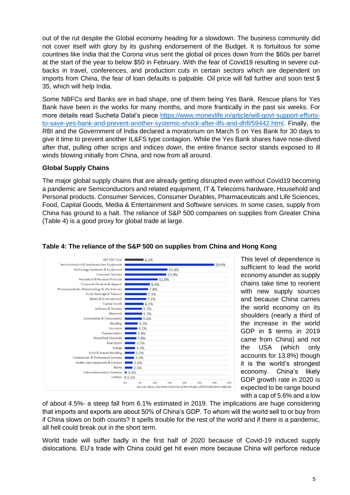out of the rut despite the Global economy heading for a slowdown. The business community did not cover itself with glory by its gushing endorsement of the Budget. It is fortuitous for some countries like India that the Corona virus sent the global oil prices down from the \$60s per barrel at the start of the year to below \$50 in February. With the fear of Covid19 resulting in severe cutbacks in travel, conferences, and production cuts in certain sectors which are dependent on imports from China, the fear of loan defaults is palpable. Oil price will fall further and soon test \$ 35, which will help India.

Some NBFCs and Banks are in bad shape, one of them being Yes Bank. Rescue plans for Yes Bank have been in the works for many months, and more frantically in the past six weeks. For more details read Sucheta Dalal's piece [https://www.moneylife.in/article/will-govt-support-efforts](https://www.moneylife.in/article/will-govt-support-efforts-to-save-yes-bank-and-prevent-another-systemic-shock-after-ilfs-and-dhfl/59442.html)[to-save-yes-bank-and-prevent-another-systemic-shock-after-ilfs-and-dhfl/59442.html.](https://www.moneylife.in/article/will-govt-support-efforts-to-save-yes-bank-and-prevent-another-systemic-shock-after-ilfs-and-dhfl/59442.html) Finally, the RBI and the Government of India declared a moratorium on March 5 on Yes Bank for 30 days to give it time to prevent another IL&FS type contagion. While the Yes Bank shares have nose-dived after that, pulling other scrips and indices down, the entire finance sector stands exposed to ill winds blowing initially from China, and now from all around.

#### **Global Supply Chains**

The major global supply chains that are already getting disrupted even without Covid19 becoming a pandemic are Semiconductors and related equipment, IT & Telecoms hardware, Household and Personal products. Consumer Services, Consumer Durables, Pharmaceuticals and Life Sciences, Food, Capital Goods, Media & Entertainment and Software services. In some cases, supply from China has ground to a halt. The reliance of S&P 500 companies on supplies from Greater China (Table 4) is a good proxy for global trade at large.



This level of dependence is sufficient to lead the world economy asunder as supply chains take time to reorient with new supply sources and because China carries the world economy on its shoulders (nearly a third of the increase in the world GDP in \$ terms in 2019 came from China) and not the USA (which only accounts for 13.8%) though it is the world's strongest economy. China's likely GDP growth rate in 2020 is expected to be range bound with a cap of 5.6% and a low

#### of about 4.5%- a steep fall from 6.1% estimated in 2019. The implications are huge considering that imports and exports are about 50% of China's GDP. To whom will the world sell to or buy from if China slows on both counts? It spells trouble for the rest of the world and if there is a pandemic, all hell could break out in the short term.

World trade will suffer badly in the first half of 2020 because of Covid-19 induced supply dislocations. EU's trade with China could get hit even more because China will perforce reduce

#### **Table 4: The reliance of the S&P 500 on supplies from China and Hong Kong**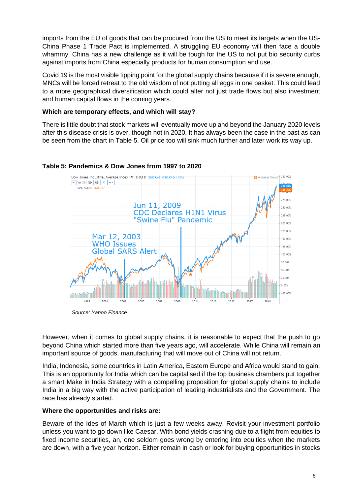imports from the EU of goods that can be procured from the US to meet its targets when the US-China Phase 1 Trade Pact is implemented. A struggling EU economy will then face a double whammy. China has a new challenge as it will be tough for the US to not put bio security curbs against imports from China especially products for human consumption and use.

Covid 19 is the most visible tipping point for the global supply chains because if it is severe enough, MNCs will be forced retreat to the old wisdom of not putting all eggs in one basket. This could lead to a more geographical diversification which could alter not just trade flows but also investment and human capital flows in the coming years.

#### **Which are temporary effects, and which will stay?**

There is little doubt that stock markets will eventually move up and beyond the January 2020 levels after this disease crisis is over, though not in 2020. It has always been the case in the past as can be seen from the chart in Table 5. Oil price too will sink much further and later work its way up.



#### **Table 5: Pandemics & Dow Jones from 1997 to 2020**

However, when it comes to global supply chains, it is reasonable to expect that the push to go beyond China which started more than five years ago, will accelerate. While China will remain an important source of goods, manufacturing that will move out of China will not return.

India, Indonesia, some countries in Latin America, Eastern Europe and Africa would stand to gain. This is an opportunity for India which can be capitalised if the top business chambers put together a smart Make in India Strategy with a compelling proposition for global supply chains to include India in a big way with the active participation of leading industrialists and the Government. The race has already started.

#### **Where the opportunities and risks are:**

Beware of the Ides of March which is just a few weeks away. Revisit your investment portfolio unless you want to go down like Caesar. With bond yields crashing due to a flight from equities to fixed income securities, an, one seldom goes wrong by entering into equities when the markets are down, with a five year horizon. Either remain in cash or look for buying opportunities in stocks

*Source: Yahoo Finance*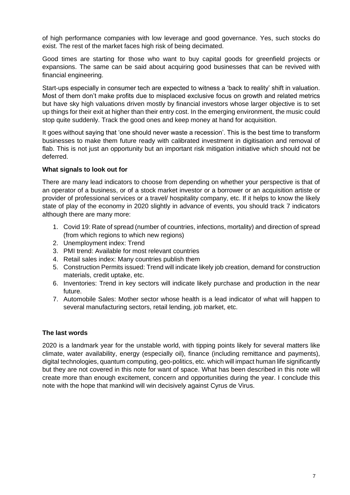of high performance companies with low leverage and good governance. Yes, such stocks do exist. The rest of the market faces high risk of being decimated.

Good times are starting for those who want to buy capital goods for greenfield projects or expansions. The same can be said about acquiring good businesses that can be revived with financial engineering.

Start-ups especially in consumer tech are expected to witness a 'back to reality' shift in valuation. Most of them don't make profits due to misplaced exclusive focus on growth and related metrics but have sky high valuations driven mostly by financial investors whose larger objective is to set up things for their exit at higher than their entry cost. In the emerging environment, the music could stop quite suddenly. Track the good ones and keep money at hand for acquisition.

It goes without saying that 'one should never waste a recession'. This is the best time to transform businesses to make them future ready with calibrated investment in digitisation and removal of flab. This is not just an opportunity but an important risk mitigation initiative which should not be deferred.

#### **What signals to look out for**

There are many lead indicators to choose from depending on whether your perspective is that of an operator of a business, or of a stock market investor or a borrower or an acquisition artiste or provider of professional services or a travel/ hospitality company, etc. If it helps to know the likely state of play of the economy in 2020 slightly in advance of events, you should track 7 indicators although there are many more:

- 1. Covid 19: Rate of spread (number of countries, infections, mortality) and direction of spread (from which regions to which new regions)
- 2. Unemployment index: Trend
- 3. PMI trend: Available for most relevant countries
- 4. Retail sales index: Many countries publish them
- 5. Construction Permits issued: Trend will indicate likely job creation, demand for construction materials, credit uptake, etc.
- 6. Inventories: Trend in key sectors will indicate likely purchase and production in the near future.
- 7. Automobile Sales: Mother sector whose health is a lead indicator of what will happen to several manufacturing sectors, retail lending, job market, etc.

#### **The last words**

2020 is a landmark year for the unstable world, with tipping points likely for several matters like climate, water availability, energy (especially oil), finance (including remittance and payments), digital technologies, quantum computing, geo-politics, etc. which will impact human life significantly but they are not covered in this note for want of space. What has been described in this note will create more than enough excitement, concern and opportunities during the year. I conclude this note with the hope that mankind will win decisively against Cyrus de Virus.